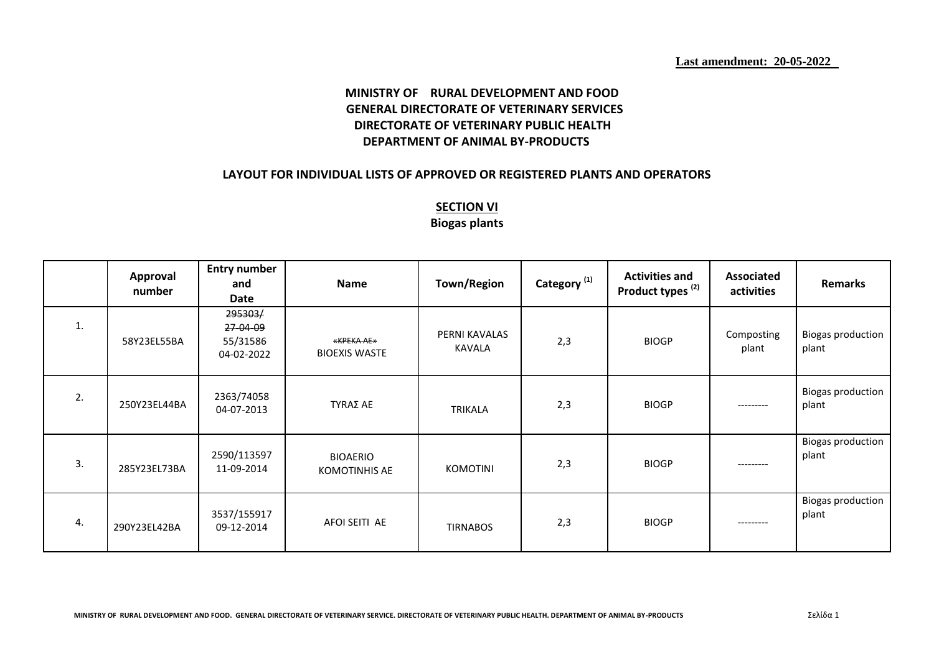## **MINISTRY OF RURAL DEVELOPMENT AND FOOD GENERAL DIRECTORATE OF VETERINARY SERVICES DIRECTORATE OF VETERINARY PUBLIC HEALTH DEPARTMENT OF ANIMAL BY-PRODUCTS**

## **LAYOUT FOR INDIVIDUAL LISTS OF APPROVED OR REGISTERED PLANTS AND OPERATORS**

## **SECTION VI Biogas plants**

|    | Approval<br>number | <b>Entry number</b><br>and<br>Date            | Name                                    | Town/Region                    | Category <sup>(1)</sup> | <b>Activities and</b><br>Product types <sup>(2)</sup> | Associated<br>activities | <b>Remarks</b>                    |
|----|--------------------|-----------------------------------------------|-----------------------------------------|--------------------------------|-------------------------|-------------------------------------------------------|--------------------------|-----------------------------------|
| 1. | 58Y23EL55BA        | 295303/<br>27-04-09<br>55/31586<br>04-02-2022 | «KPEKA AE»<br><b>BIOEXIS WASTE</b>      | PERNI KAVALAS<br><b>KAVALA</b> | 2,3                     | <b>BIOGP</b>                                          | Composting<br>plant      | <b>Biogas production</b><br>plant |
| 2. | 250Y23EL44BA       | 2363/74058<br>04-07-2013                      | TYRAΣ AE                                | TRIKALA                        | 2,3                     | <b>BIOGP</b>                                          | ---------                | <b>Biogas production</b><br>plant |
| 3. | 285Y23EL73BA       | 2590/113597<br>11-09-2014                     | <b>BIOAERIO</b><br><b>KOMOTINHIS AE</b> | <b>KOMOTINI</b>                | 2,3                     | <b>BIOGP</b>                                          | ---------                | <b>Biogas production</b><br>plant |
| 4. | 290Y23EL42BA       | 3537/155917<br>09-12-2014                     | AFOI SEITI AE                           | <b>TIRNABOS</b>                | 2,3                     | <b>BIOGP</b>                                          | --------                 | <b>Biogas production</b><br>plant |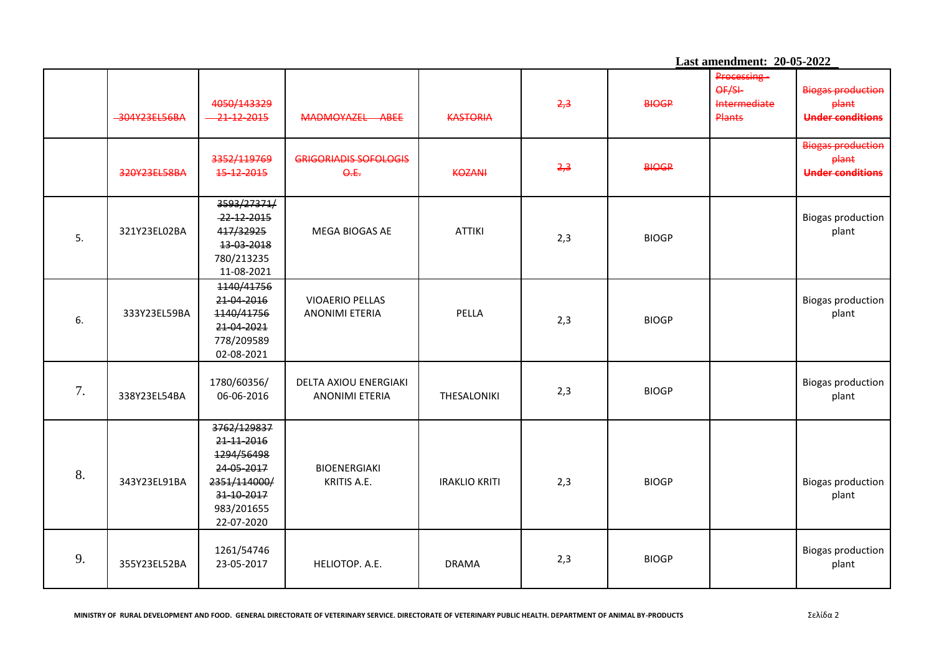|    |              |                                                                                                                 |                                                 |                      |     | Last amendment: 20-05-2022 |                                                       |                                                                     |  |
|----|--------------|-----------------------------------------------------------------------------------------------------------------|-------------------------------------------------|----------------------|-----|----------------------------|-------------------------------------------------------|---------------------------------------------------------------------|--|
|    | 304Y23EL56BA | 4050/143329<br>$-21 - 12 - 2015$                                                                                | MADMOYAZEL ABEE                                 | <b>KASTORIA</b>      | 2,3 | <b>BIOGP</b>               | Processing-<br>OF/SL<br>Intermediate<br><b>Plants</b> | <b>Biogas production</b><br>plant<br><b>Under conditions</b>        |  |
|    | 320Y23EL58BA | 3352/119769<br>15-12-2015                                                                                       | <b>GRIGORIADIS SOFOLOGIS</b><br>$\Theta$ .E.    | <b>KOZANI</b>        | 2,3 | <b>BIOGP</b>               |                                                       | <b>Biogas production</b><br><b>plant</b><br><b>Under conditions</b> |  |
| 5. | 321Y23EL02BA | 3593/27371/<br>22-12-2015<br>417/32925<br>13-03-2018<br>780/213235<br>11-08-2021                                | MEGA BIOGAS AE                                  | <b>ATTIKI</b>        | 2,3 | <b>BIOGP</b>               |                                                       | <b>Biogas production</b><br>plant                                   |  |
| 6. | 333Y23EL59BA | 1140/41756<br>21-04-2016<br>1140/41756<br>21-04-2021<br>778/209589<br>02-08-2021                                | <b>VIOAERIO PELLAS</b><br><b>ANONIMI ETERIA</b> | PELLA                | 2,3 | <b>BIOGP</b>               |                                                       | <b>Biogas production</b><br>plant                                   |  |
| 7. | 338Y23EL54BA | 1780/60356/<br>06-06-2016                                                                                       | DELTA AXIOU ENERGIAKI<br><b>ANONIMI ETERIA</b>  | THESALONIKI          | 2,3 | <b>BIOGP</b>               |                                                       | <b>Biogas production</b><br>plant                                   |  |
| 8. | 343Y23EL91BA | 3762/129837<br>21-11-2016<br>1294/56498<br>24-05-2017<br>2351/114000/<br>31-10-2017<br>983/201655<br>22-07-2020 | <b>BIOENERGIAKI</b><br>KRITIS A.E.              | <b>IRAKLIO KRITI</b> | 2,3 | <b>BIOGP</b>               |                                                       | <b>Biogas production</b><br>plant                                   |  |
| 9. | 355Y23EL52BA | 1261/54746<br>23-05-2017                                                                                        | HELIOTOP. A.E.                                  | <b>DRAMA</b>         | 2,3 | <b>BIOGP</b>               |                                                       | <b>Biogas production</b><br>plant                                   |  |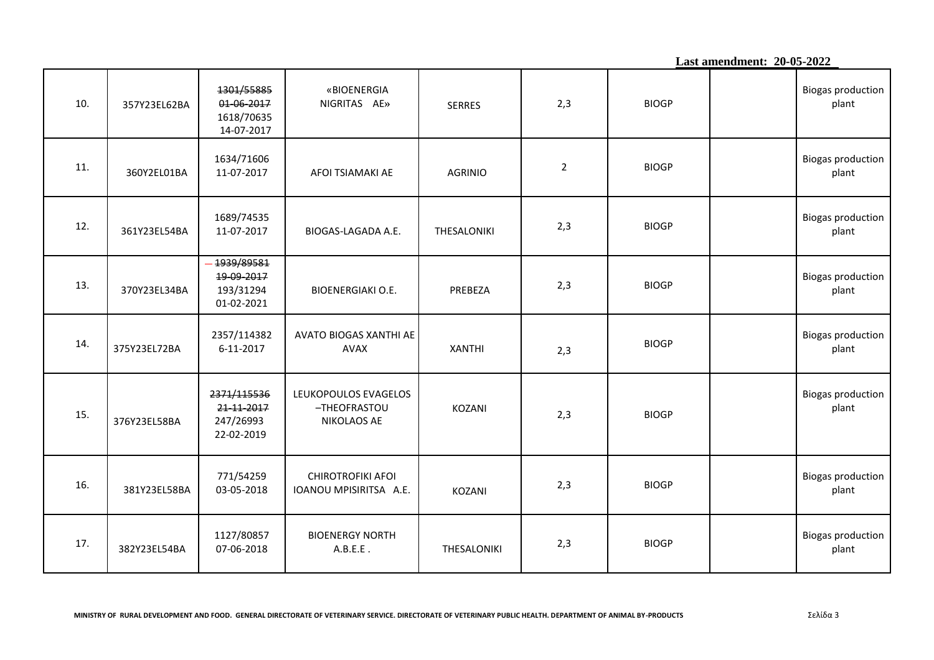**Last amendment: 20-05-2022**

| 10. | 357Y23EL62BA | 1301/55885<br>01-06-2017<br>1618/70635<br>14-07-2017 | «BIOENERGIA<br>NIGRITAS AE»                         | <b>SERRES</b>  | 2,3            | <b>BIOGP</b> | <b>Biogas production</b><br>plant |
|-----|--------------|------------------------------------------------------|-----------------------------------------------------|----------------|----------------|--------------|-----------------------------------|
| 11. | 360Y2EL01BA  | 1634/71606<br>11-07-2017                             | AFOI TSIAMAKI AE                                    | <b>AGRINIO</b> | $\overline{2}$ | <b>BIOGP</b> | <b>Biogas production</b><br>plant |
| 12. | 361Y23EL54BA | 1689/74535<br>11-07-2017                             | BIOGAS-LAGADA A.E.                                  | THESALONIKI    | 2,3            | <b>BIOGP</b> | <b>Biogas production</b><br>plant |
| 13. | 370Y23EL34BA | 1939/89581<br>19-09-2017<br>193/31294<br>01-02-2021  | <b>BIOENERGIAKI O.E.</b>                            | PREBEZA        | 2,3            | <b>BIOGP</b> | <b>Biogas production</b><br>plant |
| 14. | 375Y23EL72BA | 2357/114382<br>6-11-2017                             | AVATO BIOGAS XANTHI AE<br><b>AVAX</b>               | <b>XANTHI</b>  | 2,3            | <b>BIOGP</b> | <b>Biogas production</b><br>plant |
| 15. | 376Y23EL58BA | 2371/115536<br>21-11-2017<br>247/26993<br>22-02-2019 | LEUKOPOULOS EVAGELOS<br>-THEOFRASTOU<br>NIKOLAOS AE | KOZANI         | 2,3            | <b>BIOGP</b> | <b>Biogas production</b><br>plant |
| 16. | 381Y23EL58BA | 771/54259<br>03-05-2018                              | CHIROTROFIKI AFOI<br>IOANOU MPISIRITSA A.E.         | KOZANI         | 2,3            | <b>BIOGP</b> | <b>Biogas production</b><br>plant |
| 17. | 382Y23EL54BA | 1127/80857<br>07-06-2018                             | <b>BIOENERGY NORTH</b><br>A.B.E.E.                  | THESALONIKI    | 2,3            | <b>BIOGP</b> | <b>Biogas production</b><br>plant |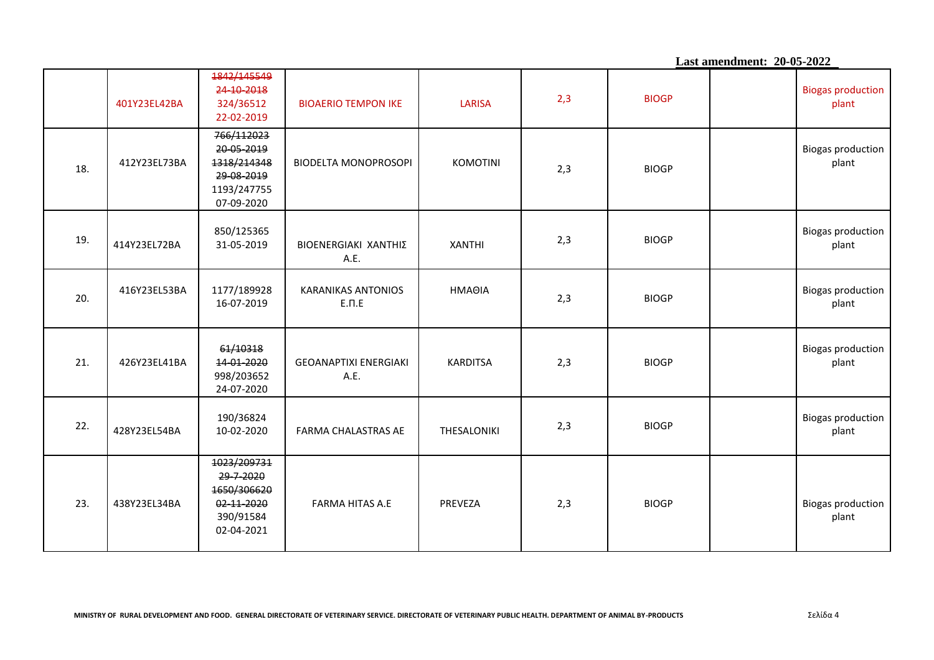**Last amendment: 20-05-2022** 401Y23EL42BA 1842/145549 24-10-2018 324/36512 22-02-2019 BIOAERIO TEMPON ΙΚΕ LARISA 2,3 ΒIOGP Biogas production plant 18. 412Y23EL73BA 766/112023 20-05-2019 1318/214348 29-08-2019 1193/247755 07-09-2020 BIODELTA MONOPROSOPI | ΚΟΜΟΤΙΝΙ 2,3 ΒIOGP Biogas production plant 19. 414Υ23EL72BA 850/125365 31-05-2019 BIOENERGIAKI ΧΑΝΤΗΙΣ Α.Ε. XANTHI 2,3 <sup>Β</sup>IOGP Biogas production plant 20. 416Y23EL53BA 1177/189928 16-07-2019 ΚΑRANIKAS ΑNTONIOS Ε.Π.Ε ΗΜΑΘΙΑ 2,3 ΒIOGP Biogas production plant 21. 426Y23EL41BA 61/10318 14-01-2020 998/203652 24-07-2020 GEOANAPTIXI ENERGIAKI Α.Ε. KARDITSA 2,3 ΒIOGP Biogas production plant 22. 428Y23EL54BA 190/36824 10-02-2020 FARMA CHALASTRAS AE THESALONIKI 2,3 <sup>Β</sup>IOGP Biogas production plant 23. 438Y23EL34BA 1023/209731 29-7-2020 1650/306620 02-11-2020 390/91584 02-04-2021 FARMA HITAS A.E PREVEZA 2,3 BIOGP BIOGP Biogas production plant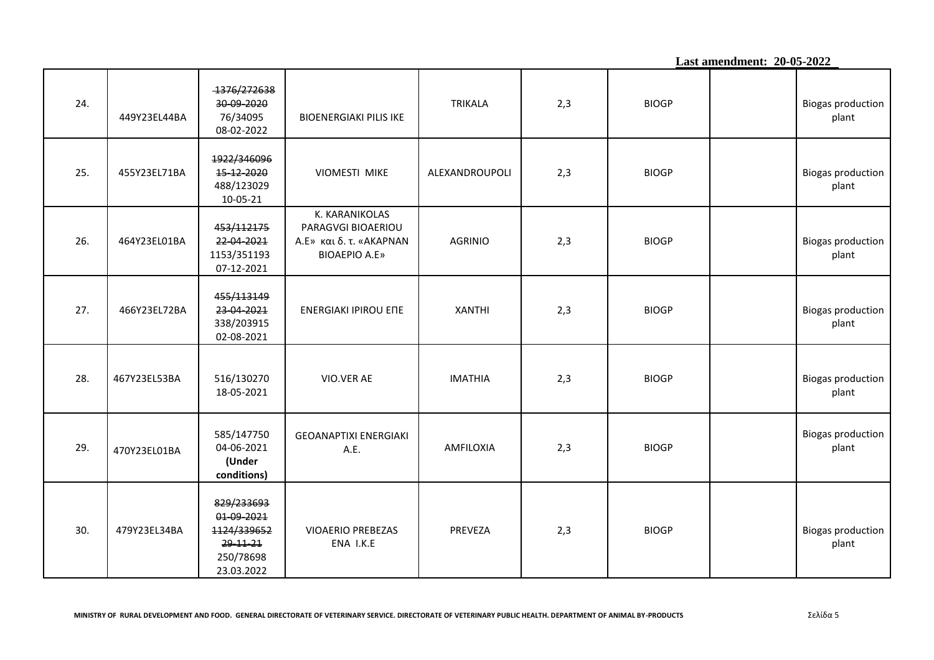**Last amendment: 20-05-2022** 24. 449Y23EL44BA 1376/272638 30-09-2020 76/34095 08-02-2022 BIOENERGIAKI PILIS ΙΚΕ TRIKALA 2,3 ΒIOGP Biogas production plant 25. 455Y23EL71BA 1922/346096 15-12-2020 488/123029 10-05-21 VIOMESTI MIKE | ALEXANDROUPOLI | 2,3 | BIOGP | Biogas production plant 26. 464Υ23ΕL01BA 453/112175 22-04-2021 1153/351193 07-12-2021 Κ. ΚΑRANIKOLAS PARAGVGI BIOAERIOU Α.Ε» και δ. τ. «ΑΚΑΡΝΑΝ ΒΙΟΑΕΡΙΟ Α.Ε» AGRINIO | 2,3 | BIOGP | Biogas production plant 27. 466Y23EL72BA 455/113149 23-04-2021 338/203915 02-08-2021 ΕΝΕRGIAKI IPIROU ΕΠΕ XANTHI 2,3 ΒIOGP Biogas production plant 28. 467Y23EL53BA 516/130270 18-05-2021 VIO.VER AE IMATHIA 2,3 BIOGP BIOGP BIOGRAPHIA BIOGRESS IN BIOGRESS IN BIOGRESS IN A BIOGRESS IN BIOGRESS IN A BIOGRESS IN BIOGRESS IN BIOGRESS IN A BIOGRESS IN A BIOGRESS IN BIOGRESS IN BIOGRESS IN A BIOGRESS IN A BIOGRESS plant 29. 470Υ23ΕL01BA 585/147750 04-06-2021 **(Under conditions)** GEOANAPTIXI ENERGIAKI Α.Ε. AMFILOXIA 2,3 ΒIOGP Biogas production plant 30. 479Y23EL34BA 829/233693 01-09-2021 1124/339652 29-11-21 250/78698 23.03.2022 VIOAERIO PREBEZAS ΕΝΑ Ι.Κ.Ε PREVEZA | 2,3 | BIOGP | Biogas production plant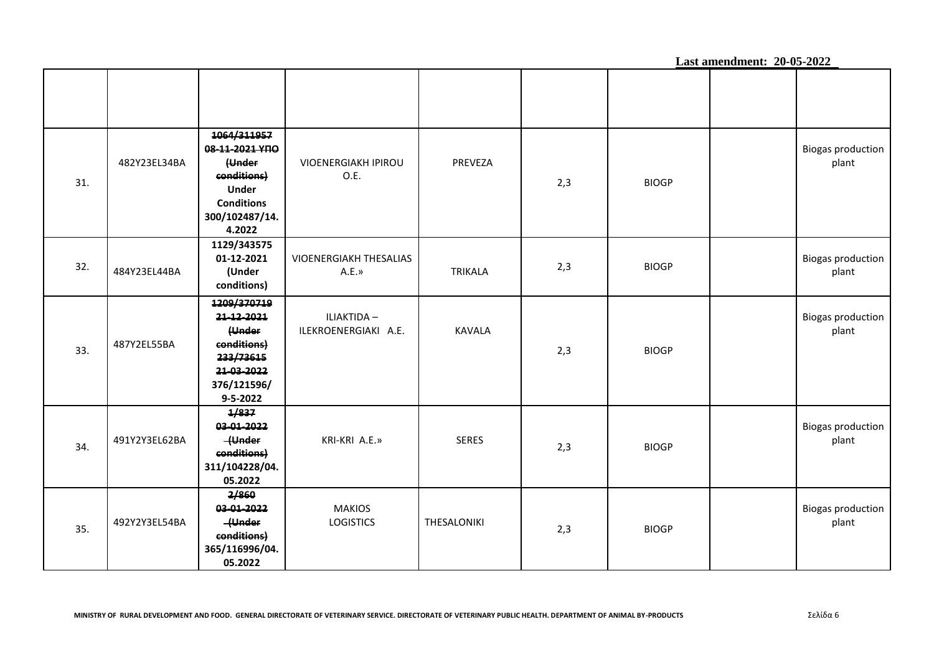|     |               |                                                                                                                         |                                     |                |     |              | Last amendment: 20-05-2022 |                                   |
|-----|---------------|-------------------------------------------------------------------------------------------------------------------------|-------------------------------------|----------------|-----|--------------|----------------------------|-----------------------------------|
|     |               |                                                                                                                         |                                     |                |     |              |                            |                                   |
| 31. | 482Y23EL34BA  | 1064/311957<br>08-11-2021 YNO<br>(Under<br>conditions)<br><b>Under</b><br><b>Conditions</b><br>300/102487/14.<br>4.2022 | <b>VIOENERGIAKH IPIROU</b><br>O.E.  | PREVEZA        | 2,3 | <b>BIOGP</b> |                            | <b>Biogas production</b><br>plant |
| 32. | 484Y23EL44BA  | 1129/343575<br>01-12-2021<br>(Under<br>conditions)                                                                      | VIOENERGIAKH THESALIAS<br>A.E.»     | <b>TRIKALA</b> | 2,3 | <b>BIOGP</b> |                            | <b>Biogas production</b><br>plant |
| 33. | 487Y2EL55BA   | 1209/370719<br>21-12-2021<br>(Under<br>conditions)<br>233/73615<br>21-03-2022<br>376/121596/<br>$9 - 5 - 2022$          | ILIAKTIDA -<br>ILEKROENERGIAKI A.E. | <b>KAVALA</b>  | 2,3 | <b>BIOGP</b> |                            | <b>Biogas production</b><br>plant |
| 34. | 491Y2Y3EL62BA | 1/837<br>03-01-2022<br>-{Under<br>conditions)<br>311/104228/04.<br>05.2022                                              | KRI-KRI A.E.»                       | <b>SERES</b>   | 2,3 | <b>BIOGP</b> |                            | <b>Biogas production</b><br>plant |
| 35. | 492Y2Y3EL54BA | 2/860<br>03-01-2022<br>-{Under<br>conditions)<br>365/116996/04.<br>05.2022                                              | <b>MAKIOS</b><br><b>LOGISTICS</b>   | THESALONIKI    | 2,3 | <b>BIOGP</b> |                            | <b>Biogas production</b><br>plant |